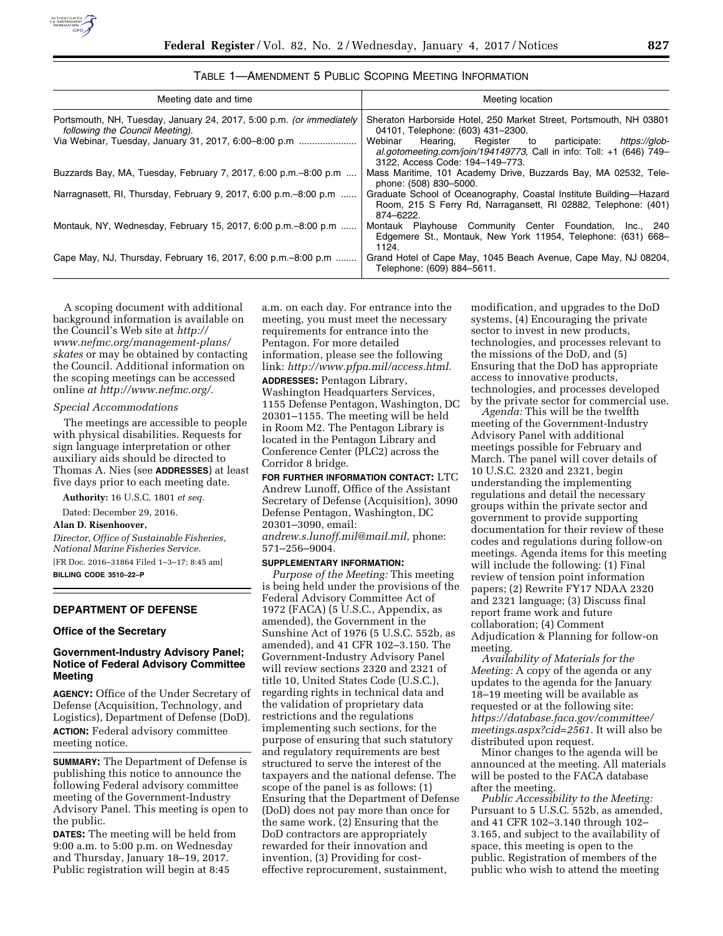

| Meeting date and time                                                                                   | Meeting location                                                                                                                                                         |  |
|---------------------------------------------------------------------------------------------------------|--------------------------------------------------------------------------------------------------------------------------------------------------------------------------|--|
| Portsmouth, NH, Tuesday, January 24, 2017, 5:00 p.m. (or immediately<br>following the Council Meeting). | Sheraton Harborside Hotel, 250 Market Street, Portsmouth, NH 03801<br>04101, Telephone: (603) 431-2300.                                                                  |  |
| Via Webinar, Tuesday, January 31, 2017, 6:00–8:00 p.m                                                   | Webinar<br>Hearing, Register to participate:<br>https://glob-<br>al.gotomeeting.com/join/194149773, Call in info: Toll: +1 (646) 749-<br>3122, Access Code: 194-149-773. |  |
| Buzzards Bay, MA, Tuesday, February 7, 2017, 6:00 p.m. -8:00 p.m                                        | Mass Maritime, 101 Academy Drive, Buzzards Bay, MA 02532, Tele-<br>phone: (508) 830-5000.                                                                                |  |
| Narragnasett, RI, Thursday, February 9, 2017, 6:00 p.m. -8:00 p.m                                       | Graduate School of Oceanography, Coastal Institute Building—Hazard<br>Room, 215 S Ferry Rd, Narragansett, RI 02882, Telephone: (401)<br>874-6222.                        |  |
| Montauk, NY, Wednesday, February 15, 2017, 6:00 p.m.–8:00 p.m                                           | Montauk Playhouse Community Center Foundation, Inc., 240<br>Edgemere St., Montauk, New York 11954, Telephone: (631) 668–<br>1124.                                        |  |
| Cape May, NJ, Thursday, February 16, 2017, 6:00 p.m. -8:00 p.m                                          | Grand Hotel of Cape May, 1045 Beach Avenue, Cape May, NJ 08204,<br>Telephone: (609) 884-5611.                                                                            |  |

| TABLE 1—AMENDMENT 5 PUBLIC SCOPING MEETING INFORMATION |  |
|--------------------------------------------------------|--|
|--------------------------------------------------------|--|

A scoping document with additional background information is available on the Council's Web site at *[http://](http://www.nefmc.org/management-plans/skates) [www.nefmc.org/management-plans/](http://www.nefmc.org/management-plans/skates) [skates](http://www.nefmc.org/management-plans/skates)* or may be obtained by contacting the Council. Additional information on the scoping meetings can be accessed online *at [http://www.nefmc.org/.](http://www.nefmc.org/)* 

### *Special Accommodations*

The meetings are accessible to people with physical disabilities. Requests for sign language interpretation or other auxiliary aids should be directed to Thomas A. Nies (see **ADDRESSES**) at least five days prior to each meeting date.

**Authority:** 16 U.S.C. 1801 *et seq.* 

Dated: December 29, 2016.

## **Alan D. Risenhoover,**

*Director, Office of Sustainable Fisheries, National Marine Fisheries Service.*  [FR Doc. 2016–31864 Filed 1–3–17; 8:45 am] **BILLING CODE 3510–22–P** 

#### **DEPARTMENT OF DEFENSE**

### **Office of the Secretary**

## **Government-Industry Advisory Panel; Notice of Federal Advisory Committee Meeting**

**AGENCY:** Office of the Under Secretary of Defense (Acquisition, Technology, and Logistics), Department of Defense (DoD). **ACTION:** Federal advisory committee meeting notice.

**SUMMARY:** The Department of Defense is publishing this notice to announce the following Federal advisory committee meeting of the Government-Industry Advisory Panel. This meeting is open to the public.

**DATES:** The meeting will be held from 9:00 a.m. to 5:00 p.m. on Wednesday and Thursday, January 18–19, 2017. Public registration will begin at 8:45

a.m. on each day. For entrance into the meeting, you must meet the necessary requirements for entrance into the Pentagon. For more detailed information, please see the following link: *[http://www.pfpa.mil/access.html.](http://www.pfpa.mil/access.html)* 

**ADDRESSES:** Pentagon Library,

Washington Headquarters Services, 1155 Defense Pentagon, Washington, DC 20301–1155. The meeting will be held in Room M2. The Pentagon Library is located in the Pentagon Library and Conference Center (PLC2) across the Corridor 8 bridge.

**FOR FURTHER INFORMATION CONTACT:** LTC Andrew Lunoff, Office of the Assistant Secretary of Defense (Acquisition), 3090 Defense Pentagon, Washington, DC 20301–3090, email: *[andrew.s.lunoff.mil@mail.mil,](mailto:andrew.s.lunoff.mil@mail.mil)* phone: 571–256–9004.

#### **SUPPLEMENTARY INFORMATION:**

*Purpose of the Meeting:* This meeting is being held under the provisions of the Federal Advisory Committee Act of 1972 (FACA) (5 U.S.C., Appendix, as amended), the Government in the Sunshine Act of 1976 (5 U.S.C. 552b, as amended), and 41 CFR 102–3.150. The Government-Industry Advisory Panel will review sections 2320 and 2321 of title 10, United States Code (U.S.C.), regarding rights in technical data and the validation of proprietary data restrictions and the regulations implementing such sections, for the purpose of ensuring that such statutory and regulatory requirements are best structured to serve the interest of the taxpayers and the national defense. The scope of the panel is as follows: (1) Ensuring that the Department of Defense (DoD) does not pay more than once for the same work, (2) Ensuring that the DoD contractors are appropriately rewarded for their innovation and invention, (3) Providing for costeffective reprocurement, sustainment,

modification, and upgrades to the DoD systems, (4) Encouraging the private sector to invest in new products, technologies, and processes relevant to the missions of the DoD, and (5) Ensuring that the DoD has appropriate access to innovative products, technologies, and processes developed by the private sector for commercial use.

*Agenda:* This will be the twelfth meeting of the Government-Industry Advisory Panel with additional meetings possible for February and March. The panel will cover details of 10 U.S.C. 2320 and 2321, begin understanding the implementing regulations and detail the necessary groups within the private sector and government to provide supporting documentation for their review of these codes and regulations during follow-on meetings. Agenda items for this meeting will include the following: (1) Final review of tension point information papers; (2) Rewrite FY17 NDAA 2320 and 2321 language; (3) Discuss final report frame work and future collaboration; (4) Comment Adjudication & Planning for follow-on meeting.

*Availability of Materials for the Meeting:* A copy of the agenda or any updates to the agenda for the January 18–19 meeting will be available as requested or at the following site: *[https://database.faca.gov/committee/](https://database.faca.gov/committee/meetings.aspx?cid=2561)  [meetings.aspx?cid=2561.](https://database.faca.gov/committee/meetings.aspx?cid=2561)* It will also be distributed upon request.

Minor changes to the agenda will be announced at the meeting. All materials will be posted to the FACA database after the meeting.

*Public Accessibility to the Meeting:*  Pursuant to 5 U.S.C. 552b, as amended, and 41 CFR 102–3.140 through 102– 3.165, and subject to the availability of space, this meeting is open to the public. Registration of members of the public who wish to attend the meeting